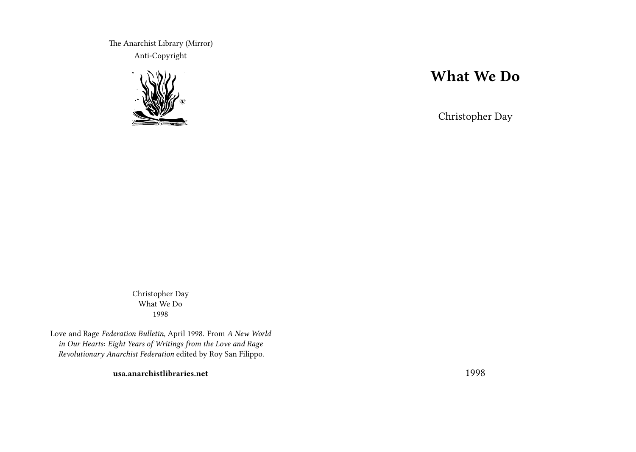The Anarchist Library (Mirror) Anti-Copyright



# **What We Do**

Christopher Day

Christopher Day What We Do 1998

Love and Rage *Federation Bulletin,* April 1998. From *A New World in Our Hearts: Eight Years of Writings from the Love and Rage Revolutionary Anarchist Federation* edited by Roy San Filippo.

**usa.anarchistlibraries.net**

1998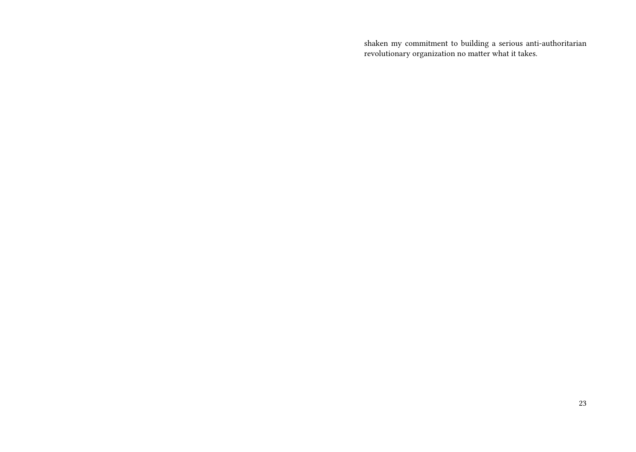shaken my commitment to building a serious anti-authoritarian revolutionary organization no matter what it takes.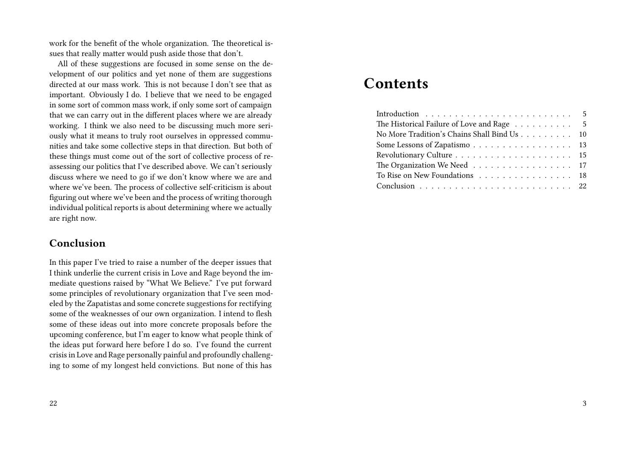work for the benefit of the whole organization. The theoretical issues that really matter would push aside those that don't.

All of these suggestions are focused in some sense on the development of our politics and yet none of them are suggestions directed at our mass work. This is not because I don't see that as important. Obviously I do. I believe that we need to be engaged in some sort of common mass work, if only some sort of campaign that we can carry out in the different places where we are already working. I think we also need to be discussing much more seriously what it means to truly root ourselves in oppressed communities and take some collective steps in that direction. But both of these things must come out of the sort of collective process of reassessing our politics that I've described above. We can't seriously discuss where we need to go if we don't know where we are and where we've been. The process of collective self-criticism is about figuring out where we've been and the process of writing thorough individual political reports is about determining where we actually are right now.

#### **Conclusion**

In this paper I've tried to raise a number of the deeper issues that I think underlie the current crisis in Love and Rage beyond the immediate questions raised by "What We Believe." I've put forward some principles of revolutionary organization that I've seen modeled by the Zapatistas and some concrete suggestions for rectifying some of the weaknesses of our own organization. I intend to flesh some of these ideas out into more concrete proposals before the upcoming conference, but I'm eager to know what people think of the ideas put forward here before I do so. I've found the current crisis in Love and Rage personally painful and profoundly challenging to some of my longest held convictions. But none of this has

# **Contents**

| The Historical Failure of Love and Rage 5   |  |
|---------------------------------------------|--|
| No More Tradition's Chains Shall Bind Us 10 |  |
|                                             |  |
|                                             |  |
| The Organization We Need 17                 |  |
| To Rise on New Foundations 18               |  |
|                                             |  |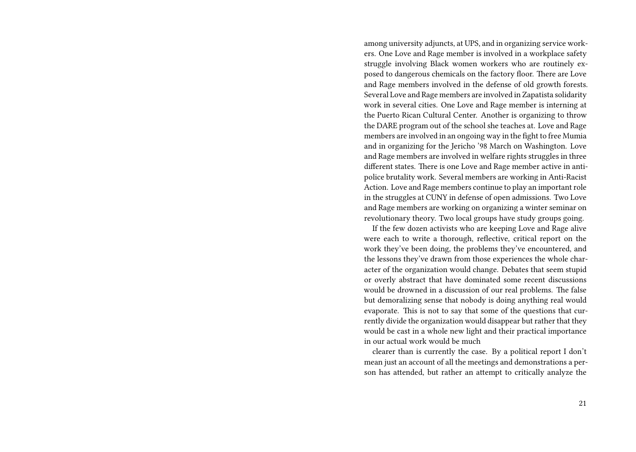among university adjuncts, at UPS, and in organizing service workers. One Love and Rage member is involved in a workplace safety struggle involving Black women workers who are routinely exposed to dangerous chemicals on the factory floor. There are Love and Rage members involved in the defense of old growth forests. Several Love and Rage members are involved in Zapatista solidarity work in several cities. One Love and Rage member is interning at the Puerto Rican Cultural Center. Another is organizing to throw the DARE program out of the school she teaches at. Love and Rage members are involved in an ongoing way in the fight to free Mumia and in organizing for the Jericho '98 March on Washington. Love and Rage members are involved in welfare rights struggles in three different states. There is one Love and Rage member active in antipolice brutality work. Several members are working in Anti-Racist Action. Love and Rage members continue to play an important role in the struggles at CUNY in defense of open admissions. Two Love and Rage members are working on organizing a winter seminar on revolutionary theory. Two local groups have study groups going.

If the few dozen activists who are keeping Love and Rage alive were each to write a thorough, reflective, critical report on the work they've been doing, the problems they've encountered, and the lessons they've drawn from those experiences the whole character of the organization would change. Debates that seem stupid or overly abstract that have dominated some recent discussions would be drowned in a discussion of our real problems. The false but demoralizing sense that nobody is doing anything real would evaporate. This is not to say that some of the questions that currently divide the organization would disappear but rather that they would be cast in a whole new light and their practical importance in our actual work would be much

clearer than is currently the case. By a political report I don't mean just an account of all the meetings and demonstrations a person has attended, but rather an attempt to critically analyze the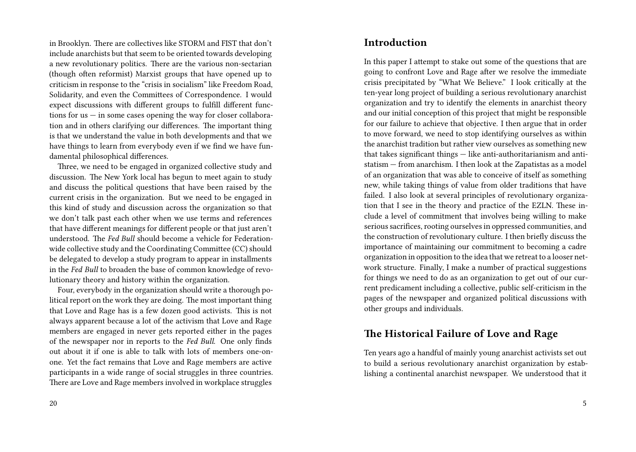in Brooklyn. There are collectives like STORM and FIST that don't include anarchists but that seem to be oriented towards developing a new revolutionary politics. There are the various non-sectarian (though often reformist) Marxist groups that have opened up to criticism in response to the "crisis in socialism" like Freedom Road, Solidarity, and even the Committees of Correspondence. I would expect discussions with different groups to fulfill different functions for  $us - in$  some cases opening the way for closer collaboration and in others clarifying our differences. The important thing is that we understand the value in both developments and that we have things to learn from everybody even if we find we have fundamental philosophical differences.

Three, we need to be engaged in organized collective study and discussion. The New York local has begun to meet again to study and discuss the political questions that have been raised by the current crisis in the organization. But we need to be engaged in this kind of study and discussion across the organization so that we don't talk past each other when we use terms and references that have different meanings for different people or that just aren't understood. The *Fed Bull* should become a vehicle for Federationwide collective study and the Coordinating Committee (CC) should be delegated to develop a study program to appear in installments in the *Fed Bull* to broaden the base of common knowledge of revolutionary theory and history within the organization.

Four, everybody in the organization should write a thorough political report on the work they are doing. The most important thing that Love and Rage has is a few dozen good activists. This is not always apparent because a lot of the activism that Love and Rage members are engaged in never gets reported either in the pages of the newspaper nor in reports to the *Fed Bull.* One only finds out about it if one is able to talk with lots of members one-onone. Yet the fact remains that Love and Rage members are active participants in a wide range of social struggles in three countries. There are Love and Rage members involved in workplace struggles

#### **Introduction**

In this paper I attempt to stake out some of the questions that are going to confront Love and Rage after we resolve the immediate crisis precipitated by "What We Believe." I look critically at the ten-year long project of building a serious revolutionary anarchist organization and try to identify the elements in anarchist theory and our initial conception of this project that might be responsible for our failure to achieve that objective. I then argue that in order to move forward, we need to stop identifying ourselves as within the anarchist tradition but rather view ourselves as something new that takes significant things — like anti-authoritarianism and antistatism — from anarchism. I then look at the Zapatistas as a model of an organization that was able to conceive of itself as something new, while taking things of value from older traditions that have failed. I also look at several principles of revolutionary organization that I see in the theory and practice of the EZLN. These include a level of commitment that involves being willing to make serious sacrifices, rooting ourselves in oppressed communities, and the construction of revolutionary culture. I then briefly discuss the importance of maintaining our commitment to becoming a cadre organization in opposition to the idea that we retreat to a looser network structure. Finally, I make a number of practical suggestions for things we need to do as an organization to get out of our current predicament including a collective, public self-criticism in the pages of the newspaper and organized political discussions with other groups and individuals.

# **The Historical Failure of Love and Rage**

Ten years ago a handful of mainly young anarchist activists set out to build a serious revolutionary anarchist organization by establishing a continental anarchist newspaper. We understood that it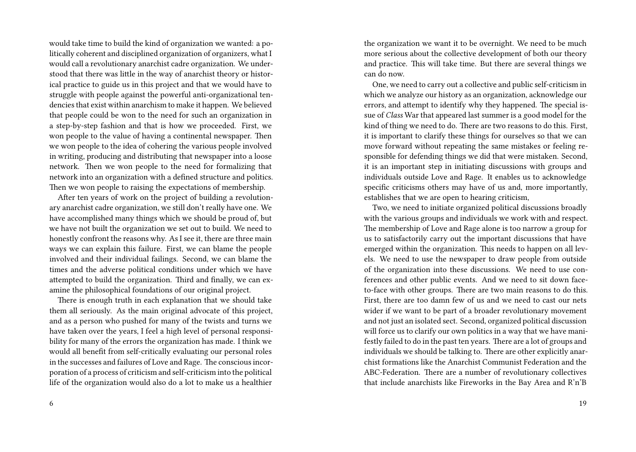would take time to build the kind of organization we wanted: a politically coherent and disciplined organization of organizers, what I would call a revolutionary anarchist cadre organization. We understood that there was little in the way of anarchist theory or historical practice to guide us in this project and that we would have to struggle with people against the powerful anti-organizational tendencies that exist within anarchism to make it happen. We believed that people could be won to the need for such an organization in a step-by-step fashion and that is how we proceeded. First, we won people to the value of having a continental newspaper. Then we won people to the idea of cohering the various people involved in writing, producing and distributing that newspaper into a loose network. Then we won people to the need for formalizing that network into an organization with a defined structure and politics. Then we won people to raising the expectations of membership.

After ten years of work on the project of building a revolutionary anarchist cadre organization, we still don't really have one. We have accomplished many things which we should be proud of, but we have not built the organization we set out to build. We need to honestly confront the reasons why. As I see it, there are three main ways we can explain this failure. First, we can blame the people involved and their individual failings. Second, we can blame the times and the adverse political conditions under which we have attempted to build the organization. Third and finally, we can examine the philosophical foundations of our original project.

There is enough truth in each explanation that we should take them all seriously. As the main original advocate of this project, and as a person who pushed for many of the twists and turns we have taken over the years, I feel a high level of personal responsibility for many of the errors the organization has made. I think we would all benefit from self-critically evaluating our personal roles in the successes and failures of Love and Rage. The conscious incorporation of a process of criticism and self-criticism into the political life of the organization would also do a lot to make us a healthier

the organization we want it to be overnight. We need to be much more serious about the collective development of both our theory and practice. This will take time. But there are several things we can do now.

One, we need to carry out a collective and public self-criticism in which we analyze our history as an organization, acknowledge our errors, and attempt to identify why they happened. The special issue of *Class* War that appeared last summer is a *g*ood model for the kind of thing we need to do. There are two reasons to do this. First, it is important to clarify these things for ourselves so that we can move forward without repeating the same mistakes or feeling responsible for defending things we did that were mistaken. Second, it is an important step in initiating discussions with groups and individuals outside Love and Rage. It enables us to acknowledge specific criticisms others may have of us and, more importantly, establishes that we are open to hearing criticism,

Two, we need to initiate organized political discussions broadly with the various groups and individuals we work with and respect. The membership of Love and Rage alone is too narrow a group for us to satisfactorily carry out the important discussions that have emerged within the organization. This needs to happen on all levels. We need to use the newspaper to draw people from outside of the organization into these discussions. We need to use conferences and other public events. And we need to sit down faceto-face with other groups. There are two main reasons to do this. First, there are too damn few of us and we need to cast our nets wider if we want to be part of a broader revolutionary movement and not just an isolated sect. Second, organized political discussion will force us to clarify our own politics in a way that we have manifestly failed to do in the past ten years. There are a lot of groups and individuals we should be talking to. There are other explicitly anarchist formations like the Anarchist Communist Federation and the ABC-Federation. There are a number of revolutionary collectives that include anarchists like Fireworks in the Bay Area and R'n'B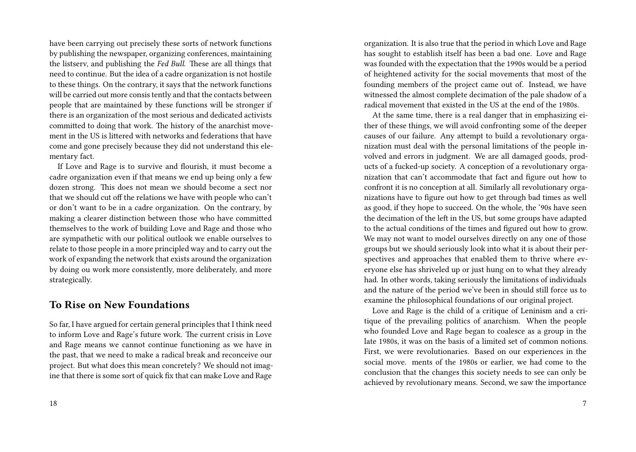have been carrying out precisely these sorts of network functions by publishing the newspaper, organizing conferences, maintaining the listserv, and publishing the *Fed Bull.* These are all things that need to continue. But the idea of a cadre organization is not hostile to these things. On the contrary, it says that the network functions will be carried out more consis tently and that the contacts between people that are maintained by these functions will be stronger if there is an organization of the most serious and dedicated activists committed to doing that work. The history of the anarchist movement in the US is littered with networks and federations that have come and gone precisely because they did not understand this elementary fact.

If Love and Rage is to survive and flourish, it must become a cadre organization even if that means we end up being only a few dozen strong. This does not mean we should become a sect nor that we should cut off the relations we have with people who can't or don't want to be in a cadre organization. On the contrary, by making a clearer distinction between those who have committed themselves to the work of building Love and Rage and those who are sympathetic with our political outlook we enable ourselves to relate to those people in a more principled way and to carry out the work of expanding the network that exists around the organization by doing ou work more consistently, more deliberately, and more strategically.

#### **To Rise on New Foundations**

So far, I have argued for certain general principles that I think need to inform Love and Rage's future work. The current crisis in Love and Rage means we cannot continue functioning as we have in the past, that we need to make a radical break and reconceive our project. But what does this mean concretely? We should not imagine that there is some sort of quick fix that can make Love and Rage

organization. It is also true that the period in which Love and Rage has sought to establish itself has been a bad one. Love and Rage was founded with the expectation that the 1990s would be a period of heightened activity for the social movements that most of the founding members of the project came out of. Instead, we have witnessed the almost complete decimation of the pale shadow of a radical movement that existed in the US at the end of the 1980s.

At the same time, there is a real danger that in emphasizing either of these things, we will avoid confronting some of the deeper causes of our failure. Any attempt to build a revolutionary organization must deal with the personal limitations of the people involved and errors in judgment. We are all damaged goods, products of a fucked-up society. A conception of a revolutionary organization that can't accommodate that fact and figure out how to confront it is no conception at all. Similarly all revolutionary organizations have to figure out how to get through bad times as well as good, if they hope to succeed. On the whole, the '90s have seen the decimation of the left in the US, but some groups have adapted to the actual conditions of the times and figured out how to grow. We may not want to model ourselves directly on any one of those groups but we should seriously look into what it is about their perspectives and approaches that enabled them to thrive where everyone else has shriveled up or just hung on to what they already had. In other words, taking seriously the limitations of individuals and the nature of the period we've been in should still force us to examine the philosophical foundations of our original project.

Love and Rage is the child of a critique of Leninism and a critique of the prevailing politics of anarchism. When the people who founded Love and Rage began to coalesce as a group in the late 1980s, it was on the basis of a limited set of common notions. First, we were revolutionaries. Based on our experiences in the social move. ments of the 1980s or earlier, we had come to the conclusion that the changes this society needs to see can only be achieved by revolutionary means. Second, we saw the importance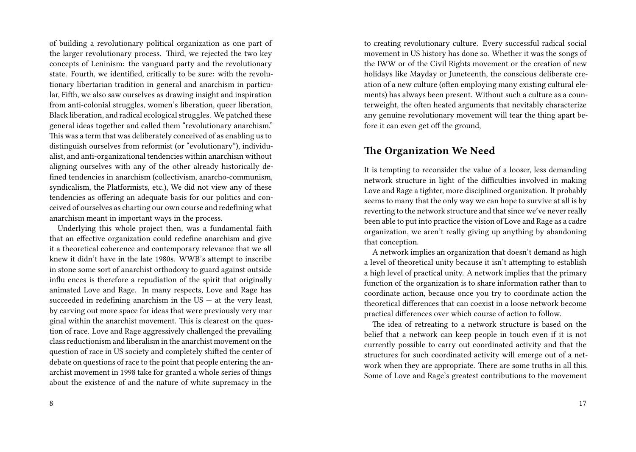of building a revolutionary political organization as one part of the larger revolutionary process. Third, we rejected the two key concepts of Leninism: the vanguard party and the revolutionary state. Fourth, we identified, critically to be sure: with the revolutionary libertarian tradition in general and anarchism in particular, Fifth, we also saw ourselves as drawing insight and inspiration from anti-colonial struggles, women's liberation, queer liberation, Black liberation, and radical ecological struggles. We patched these general ideas together and called them "revolutionary anarchism." This was a term that was deliberately conceived of as enabling us to distinguish ourselves from reformist (or "evolutionary"), individualist, and anti-organizational tendencies within anarchism without aligning ourselves with any of the other already historically defined tendencies in anarchism (collectivism, anarcho-communism, syndicalism, the Platformists, etc.), We did not view any of these tendencies as offering an adequate basis for our politics and conceived of ourselves as charting our own course and redefining what anarchism meant in important ways in the process.

Underlying this whole project then, was a fundamental faith that an effective organization could redefine anarchism and give it a theoretical coherence and contemporary relevance that we all knew it didn't have in the late 1980s. WWB's attempt to inscribe in stone some sort of anarchist orthodoxy to guard against outside influ ences is therefore a repudiation of the spirit that originally animated Love and Rage. In many respects, Love and Rage has succeeded in redefining anarchism in the  $US - at$  the very least, by carving out more space for ideas that were previously very mar ginal within the anarchist movement. This is clearest on the question of race. Love and Rage aggressively challenged the prevailing class reductionism and liberalism in the anarchist movement on the question of race in US society and completely shifted the center of debate on questions of race to the point that people entering the anarchist movement in 1998 take for granted a whole series of things about the existence of and the nature of white supremacy in the

to creating revolutionary culture. Every successful radical social movement in US history has done so. Whether it was the songs of the IWW or of the Civil Rights movement or the creation of new holidays like Mayday or Juneteenth, the conscious deliberate creation of a new culture (often employing many existing cultural elements) has always been present. Without such a culture as a counterweight, the often heated arguments that nevitably characterize any genuine revolutionary movement will tear the thing apart before it can even get off the ground,

#### **The Organization We Need**

It is tempting to reconsider the value of a looser, less demanding network structure in light of the difficulties involved in making Love and Rage a tighter, more disciplined organization. It probably seems to many that the only way we can hope to survive at all is by reverting to the network structure and that since we've never really been able to put into practice the vision of Love and Rage as a cadre organization, we aren't really giving up anything by abandoning that conception.

A network implies an organization that doesn't demand as high a level of theoretical unity because it isn't attempting to establish a high level of practical unity. A network implies that the primary function of the organization is to share information rather than to coordinate action, because once you try to coordinate action the theoretical differences that can coexist in a loose network become practical differences over which course of action to follow.

The idea of retreating to a network structure is based on the belief that a network can keep people in touch even if it is not currently possible to carry out coordinated activity and that the structures for such coordinated activity will emerge out of a network when they are appropriate. There are some truths in all this. Some of Love and Rage's greatest contributions to the movement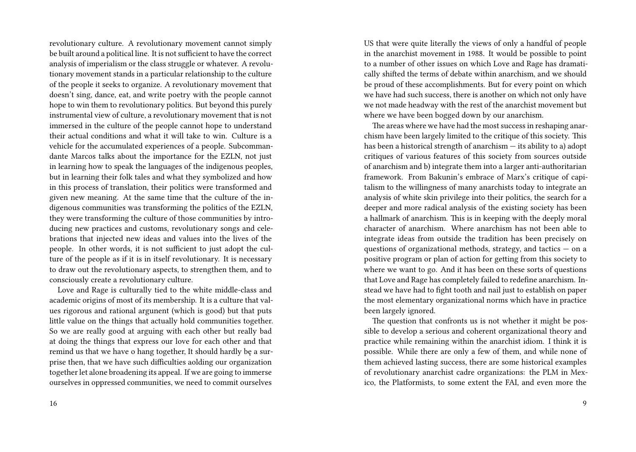revolutionary culture. A revolutionary movement cannot simply be built around a political line. It is not sufficient to have the correct analysis of imperialism or the class struggle or whatever. A revolutionary movement stands in a particular relationship to the culture of the people it seeks to organize. A revolutionary movement that doesn't sing, dance, eat, and write poetry with the people cannot hope to win them to revolutionary politics. But beyond this purely instrumental view of culture, a revolutionary movement that is not immersed in the culture of the people cannot hope to understand their actual conditions and what it will take to win. Culture is a vehicle for the accumulated experiences of a people. Subcommandante Marcos talks about the importance for the EZLN, not just in learning how to speak the languages of the indigenous peoples, but in learning their folk tales and what they symbolized and how in this process of translation, their politics were transformed and given new meaning. At the same time that the culture of the indigenous communities was transforming the politics of the EZLN, they were transforming the culture of those communities by introducing new practices and customs, revolutionary songs and celebrations that injected new ideas and values into the lives of the people. In other words, it is not sufficient to just adopt the culture of the people as if it is in itself revolutionary. It is necessary to draw out the revolutionary aspects, to strengthen them, and to consciously create a revolutionary culture.

Love and Rage is culturally tied to the white middle-class and academic origins of most of its membership. It is a culture that values rigorous and rational argunent (which is good) but that puts little value on the things that actually hold communities together. So we are really good at arguing with each other but really bad at doing the things that express our love for each other and that remind us that we have o hang together, It should hardly bę a surprise then, that we have such difficulties aolding our organization together let alone broadening its appeal. If we are going to immerse ourselves in oppressed communities, we need to commit ourselves

US that were quite literally the views of only a handful of people in the anarchist movement in 1988. It would be possible to point to a number of other issues on which Love and Rage has dramatically shifted the terms of debate within anarchism, and we should be proud of these accomplishments. But for every point on which we have had such success, there is another on which not only have we not made headway with the rest of the anarchist movement but where we have been bogged down by our anarchism.

The areas where we have had the most success in reshaping anarchism have been largely limited to the critique of this society. This has been a historical strength of anarchism — its ability to a) adopt critiques of various features of this society from sources outside of anarchism and b) integrate them into a larger anti-authoritarian framework. From Bakunin's embrace of Marx's critique of capitalism to the willingness of many anarchists today to integrate an analysis of white skin privilege into their politics, the search for a deeper and more radical analysis of the existing society has been a hallmark of anarchism. This is in keeping with the deeply moral character of anarchism. Where anarchism has not been able to integrate ideas from outside the tradition has been precisely on questions of organizational methods, strategy, and tactics  $-$  on a positive program or plan of action for getting from this society to where we want to go. And it has been on these sorts of questions that Love and Rage has completely failed to redefine anarchism. Instead we have had to fight tooth and nail just to establish on paper the most elementary organizational norms which have in practice been largely ignored.

The question that confronts us is not whether it might be possible to develop a serious and coherent organizational theory and practice while remaining within the anarchist idiom. I think it is possible. While there are only a few of them, and while none of them achieved lasting success, there are some historical examples of revolutionary anarchist cadre organizations: the PLM in Mexico, the Platformists, to some extent the FAI, and even more the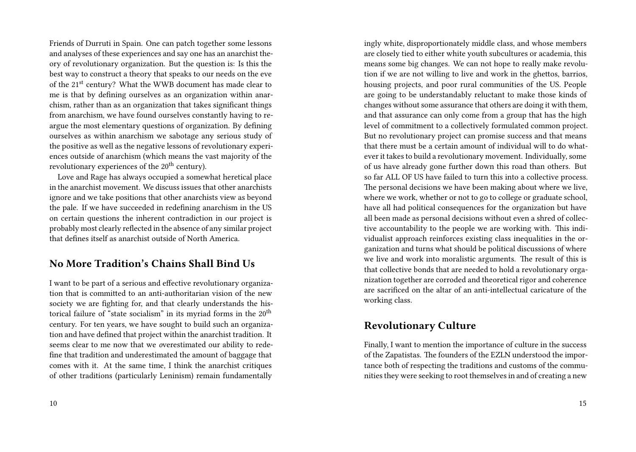Friends of Durruti in Spain. One can patch together some lessons and analyses of these experiences and say one has an anarchist theory of revolutionary organization. But the question is: Is this the best way to construct a theory that speaks to our needs on the eve of the 21st century? What the WWB document has made clear to me is that by defining ourselves as an organization within anarchism, rather than as an organization that takes significant things from anarchism, we have found ourselves constantly having to reargue the most elementary questions of organization. By defining ourselves as within anarchism we sabotage any serious study of the positive as well as the negative lessons of revolutionary experiences outside of anarchism (which means the vast majority of the revolutionary experiences of the 20<sup>th</sup> century).

Love and Rage has always occupied a somewhat heretical place in the anarchist movement. We discuss issues that other anarchists ignore and we take positions that other anarchists view as beyond the pale. If we have succeeded in redefining anarchism in the US on certain questions the inherent contradiction in our project is probably most clearly reflected in the absence of any similar project that defines itself as anarchist outside of North America.

## **No More Tradition's Chains Shall Bind Us**

I want to be part of a serious and effective revolutionary organization that is committed to an anti-authoritarian vision of the new society we are fighting for, and that clearly understands the historical failure of "state socialism" in its myriad forms in the 20<sup>th</sup> century. For ten years, we have sought to build such an organization and have defined that project within the anarchist tradition. It seems clear to me now that we *o*verestimated our ability to redefine that tradition and underestimated the amount of baggage that comes with it. At the same time, I think the anarchist critiques of other traditions (particularly Leninism) remain fundamentally ingly white, disproportionately middle class, and whose members are closely tied to either white youth subcultures or academia, this means some big changes. We can not hope to really make revolution if we are not willing to live and work in the ghettos, barrios, housing projects, and poor rural communities of the US. People are going to be understandably reluctant to make those kinds of changes without some assurance that others are doing it with them, and that assurance can only come from a group that has the high level of commitment to a collectively formulated common project. But no revolutionary project can promise success and that means that there must be a certain amount of individual will to do whatever it takes to build a revolutionary movement. Individually, some of us have already gone further down this road than others. But so far ALL OF US have failed to turn this into a collective process. The personal decisions we have been making about where we live, where we work, whether or not to go to college or graduate school, have all had political consequences for the organization but have all been made as personal decisions without even a shred of collective accountability to the people we are working with. This individualist approach reinforces existing class inequalities in the organization and turns what should be political discussions of where we live and work into moralistic arguments. The result of this is that collective bonds that are needed to hold a revolutionary organization together are corroded and theoretical rigor and coherence are sacrificed on the altar of an anti-intellectual caricature of the working class.

#### **Revolutionary Culture**

Finally, I want to mention the importance of culture in the success of the Zapatistas. The founders of the EZLN understood the importance both of respecting the traditions and customs of the communities they were seeking to root themselves in and of creating a new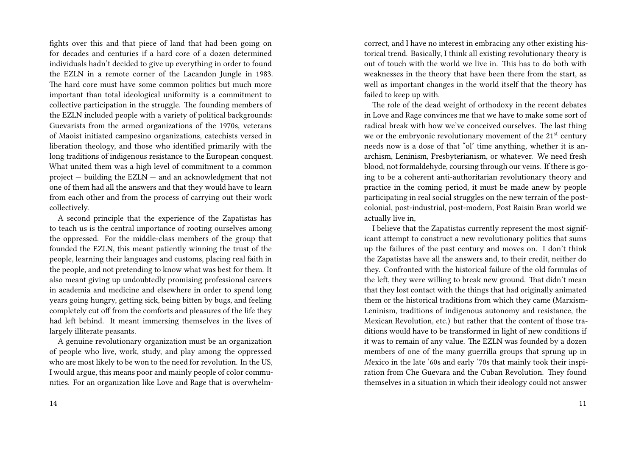fights over this and that piece of land that had been going on for decades and centuries if a hard core of a dozen determined individuals hadn't decided to give up everything in order to found the EZLN in a remote corner of the Lacandon Jungle in 1983. The hard core must have some common politics but much more important than total ideological uniformity is a commitment to collective participation in the struggle. The founding members of the EZLN included people with a variety of political backgrounds: Guevarists from the armed organizations of the 1970s, veterans of Maoist initiated campesino organizations, catechists versed in liberation theology, and those who identified primarily with the long traditions of indigenous resistance to the European conquest. What united them was a high level of commitment to a common project — building the EZLN — and an acknowledgment that not one of them had all the answers and that they would have to learn from each other and from the process of carrying out their work collectively.

A second principle that the experience of the Zapatistas has to teach us is the central importance of rooting ourselves among the oppressed. For the middle-class members of the group that founded the EZLN, this meant patiently winning the trust of the people, learning their languages and customs, placing real faith in the people, and not pretending to know what was best for them. It also meant giving up undoubtedly promising professional careers in academia and medicine and elsewhere in order to spend long years going hungry, getting sick, being bitten by bugs, and feeling completely cut off from the comforts and pleasures of the life they had left behind. It meant immersing themselves in the lives of largely illiterate peasants.

A genuine revolutionary organization must be an organization of people who live, work, study, and play among the oppressed who are most likely to be won to the need for revolution. In the US, I would argue, this means poor and mainly people of color communities. For an organization like Love and Rage that is overwhelmcorrect, and I have no interest in embracing any other existing historical trend. Basically, I think all existing revolutionary theory is out of touch with the world we live in. This has to do both with weaknesses in the theory that have been there from the start, as well as important changes in the world itself that the theory has failed to keep up with.

The role of the dead weight of orthodoxy in the recent debates in Love and Rage convinces me that we have to make some sort of radical break with how we've conceived ourselves. The last thing we or the embryonic revolutionary movement of the 21<sup>st</sup> century needs now is a dose of that "ol' time anything, whether it is anarchism, Leninism, Presbyterianism, or whatever. We need fresh blood, not formaldehyde, coursing through our veins. If there is going to be a coherent anti-authoritarian revolutionary theory and practice in the coming period, it must be made anew by people participating in real social struggles on the new terrain of the postcolonial, post-industrial, post-modern, Post Raisin Bran world we actually live in,

I believe that the Zapatistas currently represent the most significant attempt to construct a new revolutionary politics that sums up the failures of the past century and moves on. I don't think the Zapatistas have all the answers and, to their credit, neither do they. Confronted with the historical failure of the old formulas of the left, they were willing to break new ground. That didn't mean that they lost contact with the things that had originally animated them or the historical traditions from which they came (Marxism-Leninism, traditions of indigenous autonomy and resistance, the Mexican Revolution, etc.) but rather that the content of those traditions would have to be transformed in light of new conditions if it was to remain of any value. The EZLN was founded by a dozen members of one of the many guerrilla groups that sprung up in *M*exico in the late '60s and early '70s that mainly took their inspiration from Che Guevara and the Cuban Revolution. They found themselves in a situation in which their ideology could not answer